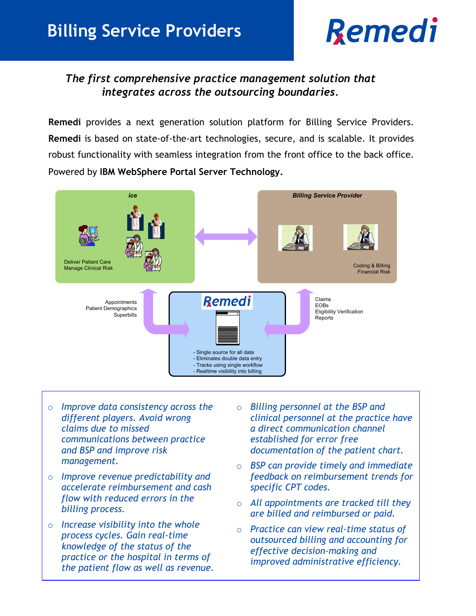# **Remedi**

### *The first comprehensive practice management solution that integrates across the outsourcing boundaries.*

**Remedi** provides a next generation solution platform for Billing Service Providers. **Remedi** is based on state-of-the-art technologies, secure, and is scalable. It provides robust functionality with seamless integration from the front office to the back office. Powered by **IBM WebSphere Portal Server Technology.**



- o *Improve data consistency across the different players. Avoid wrong claims due to missed communications between practice and BSP and improve risk management.*
- o *Improve revenue predictability and accelerate reimbursement and cash flow with reduced errors in the billing process.*
- o *Increase visibility into the whole process cycles. Gain real-time knowledge of the status of the practice or the hospital in terms of the patient flow as well as revenue.*
- o *Billing personnel at the BSP and clinical personnel at the practice have a direct communication channel established for error free documentation of the patient chart.*
- o *BSP can provide timely and immediate feedback on reimbursement trends for specific CPT codes.*
- o *All appointments are tracked till they are billed and reimbursed or paid.*
- o *Practice can view real-time status of outsourced billing and accounting for effective decision-making and improved administrative efficiency.*